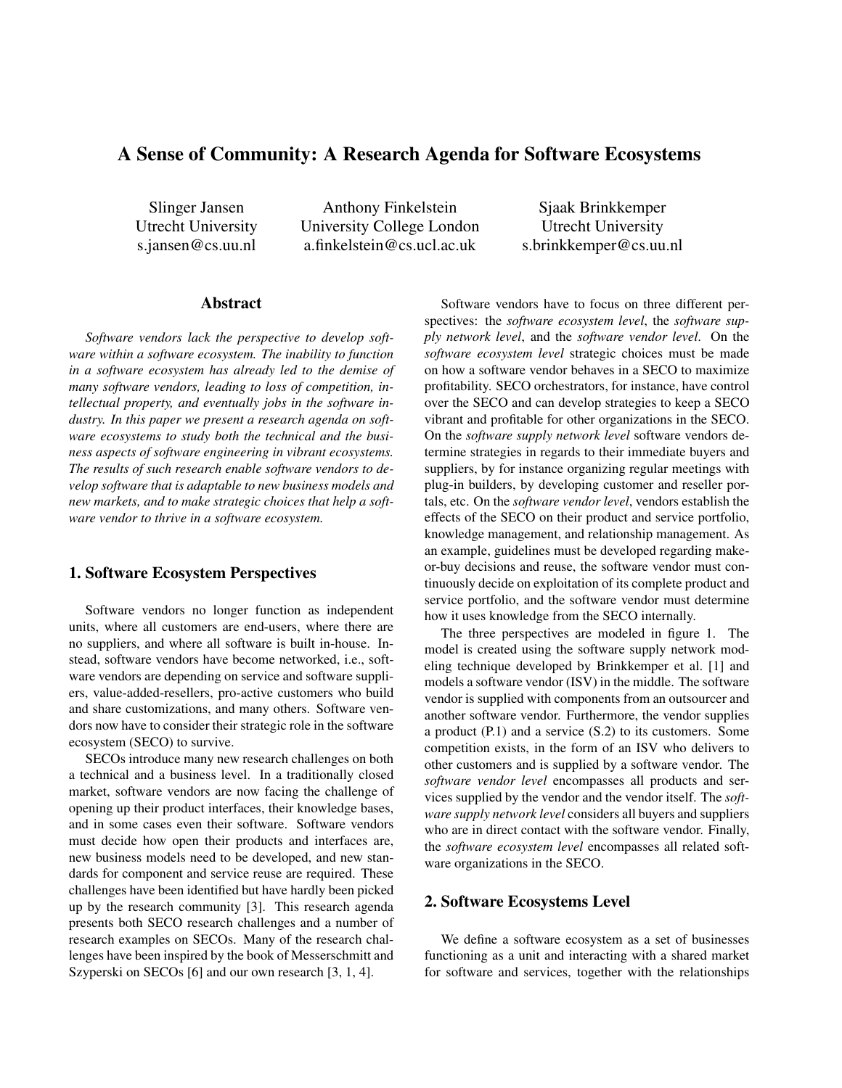# A Sense of Community: A Research Agenda for Software Ecosystems

Slinger Jansen Utrecht University s.jansen@cs.uu.nl

Anthony Finkelstein University College London a.finkelstein@cs.ucl.ac.uk

Sjaak Brinkkemper Utrecht University s.brinkkemper@cs.uu.nl

## Abstract

*Software vendors lack the perspective to develop software within a software ecosystem. The inability to function in a software ecosystem has already led to the demise of many software vendors, leading to loss of competition, intellectual property, and eventually jobs in the software industry. In this paper we present a research agenda on software ecosystems to study both the technical and the business aspects of software engineering in vibrant ecosystems. The results of such research enable software vendors to develop software that is adaptable to new business models and new markets, and to make strategic choices that help a software vendor to thrive in a software ecosystem.*

## 1. Software Ecosystem Perspectives

Software vendors no longer function as independent units, where all customers are end-users, where there are no suppliers, and where all software is built in-house. Instead, software vendors have become networked, i.e., software vendors are depending on service and software suppliers, value-added-resellers, pro-active customers who build and share customizations, and many others. Software vendors now have to consider their strategic role in the software ecosystem (SECO) to survive.

SECOs introduce many new research challenges on both a technical and a business level. In a traditionally closed market, software vendors are now facing the challenge of opening up their product interfaces, their knowledge bases, and in some cases even their software. Software vendors must decide how open their products and interfaces are, new business models need to be developed, and new standards for component and service reuse are required. These challenges have been identified but have hardly been picked up by the research community [3]. This research agenda presents both SECO research challenges and a number of research examples on SECOs. Many of the research challenges have been inspired by the book of Messerschmitt and Szyperski on SECOs [6] and our own research [3, 1, 4].

Software vendors have to focus on three different perspectives: the *software ecosystem level*, the *software supply network level*, and the *software vendor level*. On the *software ecosystem level* strategic choices must be made on how a software vendor behaves in a SECO to maximize profitability. SECO orchestrators, for instance, have control over the SECO and can develop strategies to keep a SECO vibrant and profitable for other organizations in the SECO. On the *software supply network level* software vendors determine strategies in regards to their immediate buyers and suppliers, by for instance organizing regular meetings with plug-in builders, by developing customer and reseller portals, etc. On the *software vendor level*, vendors establish the effects of the SECO on their product and service portfolio, knowledge management, and relationship management. As an example, guidelines must be developed regarding makeor-buy decisions and reuse, the software vendor must continuously decide on exploitation of its complete product and service portfolio, and the software vendor must determine how it uses knowledge from the SECO internally.

The three perspectives are modeled in figure 1. The model is created using the software supply network modeling technique developed by Brinkkemper et al. [1] and models a software vendor (ISV) in the middle. The software vendor is supplied with components from an outsourcer and another software vendor. Furthermore, the vendor supplies a product (P.1) and a service (S.2) to its customers. Some competition exists, in the form of an ISV who delivers to other customers and is supplied by a software vendor. The *software vendor level* encompasses all products and services supplied by the vendor and the vendor itself. The *software supply network level* considers all buyers and suppliers who are in direct contact with the software vendor. Finally, the *software ecosystem level* encompasses all related software organizations in the SECO.

#### 2. Software Ecosystems Level

We define a software ecosystem as a set of businesses functioning as a unit and interacting with a shared market for software and services, together with the relationships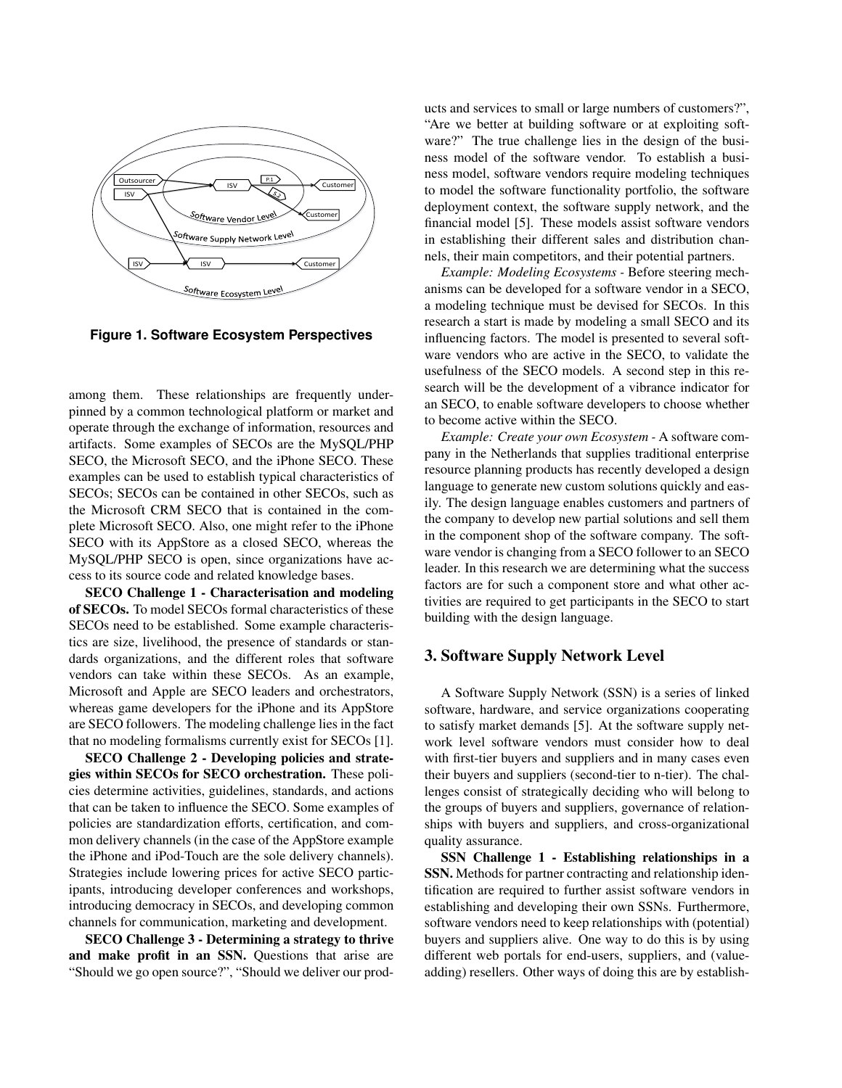

**Figure 1. Software Ecosystem Perspectives**

among them. These relationships are frequently underpinned by a common technological platform or market and operate through the exchange of information, resources and artifacts. Some examples of SECOs are the MySQL/PHP SECO, the Microsoft SECO, and the iPhone SECO. These examples can be used to establish typical characteristics of SECOs; SECOs can be contained in other SECOs, such as the Microsoft CRM SECO that is contained in the complete Microsoft SECO. Also, one might refer to the iPhone SECO with its AppStore as a closed SECO, whereas the MySQL/PHP SECO is open, since organizations have access to its source code and related knowledge bases.

SECO Challenge 1 - Characterisation and modeling of SECOs. To model SECOs formal characteristics of these SECOs need to be established. Some example characteristics are size, livelihood, the presence of standards or standards organizations, and the different roles that software vendors can take within these SECOs. As an example, Microsoft and Apple are SECO leaders and orchestrators, whereas game developers for the iPhone and its AppStore are SECO followers. The modeling challenge lies in the fact that no modeling formalisms currently exist for SECOs [1].

SECO Challenge 2 - Developing policies and strategies within SECOs for SECO orchestration. These policies determine activities, guidelines, standards, and actions that can be taken to influence the SECO. Some examples of policies are standardization efforts, certification, and common delivery channels (in the case of the AppStore example the iPhone and iPod-Touch are the sole delivery channels). Strategies include lowering prices for active SECO participants, introducing developer conferences and workshops, introducing democracy in SECOs, and developing common channels for communication, marketing and development.

SECO Challenge 3 - Determining a strategy to thrive and make profit in an SSN. Questions that arise are "Should we go open source?", "Should we deliver our products and services to small or large numbers of customers?", "Are we better at building software or at exploiting software?" The true challenge lies in the design of the business model of the software vendor. To establish a business model, software vendors require modeling techniques to model the software functionality portfolio, the software deployment context, the software supply network, and the financial model [5]. These models assist software vendors in establishing their different sales and distribution channels, their main competitors, and their potential partners.

*Example: Modeling Ecosystems -* Before steering mechanisms can be developed for a software vendor in a SECO, a modeling technique must be devised for SECOs. In this research a start is made by modeling a small SECO and its influencing factors. The model is presented to several software vendors who are active in the SECO, to validate the usefulness of the SECO models. A second step in this research will be the development of a vibrance indicator for an SECO, to enable software developers to choose whether to become active within the SECO.

*Example: Create your own Ecosystem -* A software company in the Netherlands that supplies traditional enterprise resource planning products has recently developed a design language to generate new custom solutions quickly and easily. The design language enables customers and partners of the company to develop new partial solutions and sell them in the component shop of the software company. The software vendor is changing from a SECO follower to an SECO leader. In this research we are determining what the success factors are for such a component store and what other activities are required to get participants in the SECO to start building with the design language.

## 3. Software Supply Network Level

A Software Supply Network (SSN) is a series of linked software, hardware, and service organizations cooperating to satisfy market demands [5]. At the software supply network level software vendors must consider how to deal with first-tier buyers and suppliers and in many cases even their buyers and suppliers (second-tier to n-tier). The challenges consist of strategically deciding who will belong to the groups of buyers and suppliers, governance of relationships with buyers and suppliers, and cross-organizational quality assurance.

SSN Challenge 1 - Establishing relationships in a SSN. Methods for partner contracting and relationship identification are required to further assist software vendors in establishing and developing their own SSNs. Furthermore, software vendors need to keep relationships with (potential) buyers and suppliers alive. One way to do this is by using different web portals for end-users, suppliers, and (valueadding) resellers. Other ways of doing this are by establish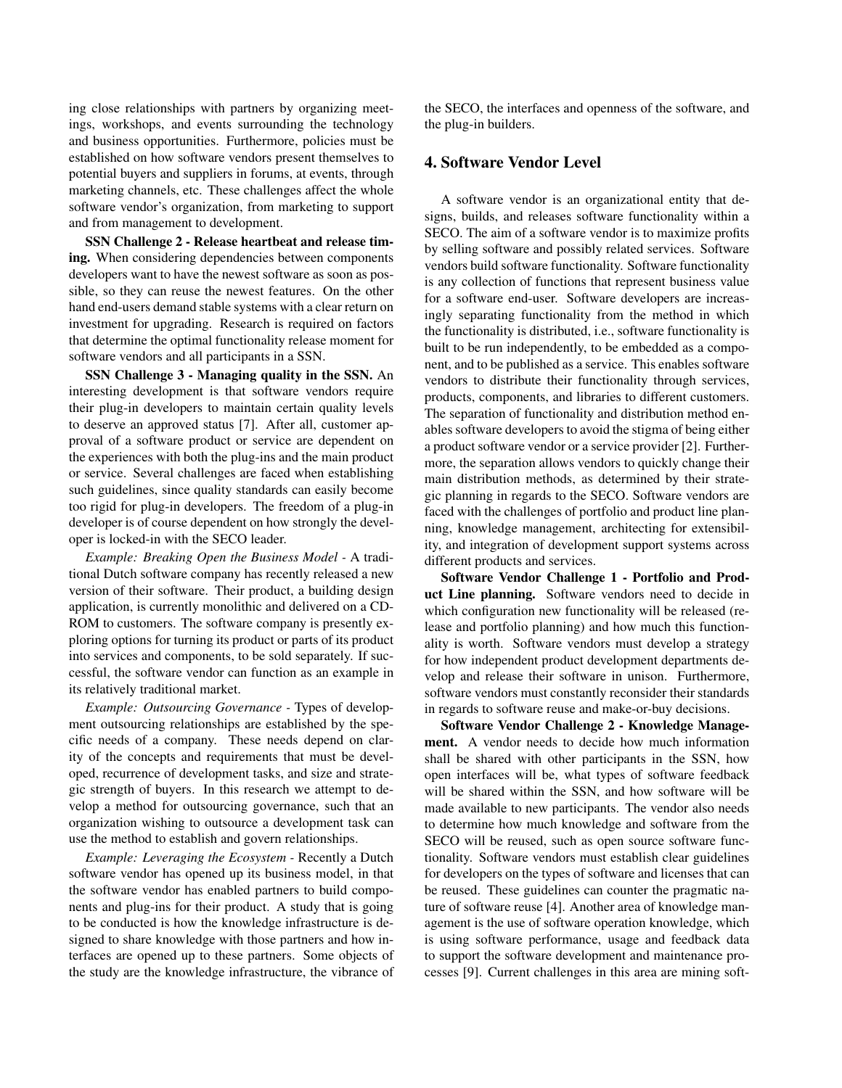ing close relationships with partners by organizing meetings, workshops, and events surrounding the technology and business opportunities. Furthermore, policies must be established on how software vendors present themselves to potential buyers and suppliers in forums, at events, through marketing channels, etc. These challenges affect the whole software vendor's organization, from marketing to support and from management to development.

SSN Challenge 2 - Release heartbeat and release timing. When considering dependencies between components developers want to have the newest software as soon as possible, so they can reuse the newest features. On the other hand end-users demand stable systems with a clear return on investment for upgrading. Research is required on factors that determine the optimal functionality release moment for software vendors and all participants in a SSN.

SSN Challenge 3 - Managing quality in the SSN. An interesting development is that software vendors require their plug-in developers to maintain certain quality levels to deserve an approved status [7]. After all, customer approval of a software product or service are dependent on the experiences with both the plug-ins and the main product or service. Several challenges are faced when establishing such guidelines, since quality standards can easily become too rigid for plug-in developers. The freedom of a plug-in developer is of course dependent on how strongly the developer is locked-in with the SECO leader.

*Example: Breaking Open the Business Model -* A traditional Dutch software company has recently released a new version of their software. Their product, a building design application, is currently monolithic and delivered on a CD-ROM to customers. The software company is presently exploring options for turning its product or parts of its product into services and components, to be sold separately. If successful, the software vendor can function as an example in its relatively traditional market.

*Example: Outsourcing Governance -* Types of development outsourcing relationships are established by the specific needs of a company. These needs depend on clarity of the concepts and requirements that must be developed, recurrence of development tasks, and size and strategic strength of buyers. In this research we attempt to develop a method for outsourcing governance, such that an organization wishing to outsource a development task can use the method to establish and govern relationships.

*Example: Leveraging the Ecosystem -* Recently a Dutch software vendor has opened up its business model, in that the software vendor has enabled partners to build components and plug-ins for their product. A study that is going to be conducted is how the knowledge infrastructure is designed to share knowledge with those partners and how interfaces are opened up to these partners. Some objects of the study are the knowledge infrastructure, the vibrance of the SECO, the interfaces and openness of the software, and the plug-in builders.

# 4. Software Vendor Level

A software vendor is an organizational entity that designs, builds, and releases software functionality within a SECO. The aim of a software vendor is to maximize profits by selling software and possibly related services. Software vendors build software functionality. Software functionality is any collection of functions that represent business value for a software end-user. Software developers are increasingly separating functionality from the method in which the functionality is distributed, i.e., software functionality is built to be run independently, to be embedded as a component, and to be published as a service. This enables software vendors to distribute their functionality through services, products, components, and libraries to different customers. The separation of functionality and distribution method enables software developers to avoid the stigma of being either a product software vendor or a service provider [2]. Furthermore, the separation allows vendors to quickly change their main distribution methods, as determined by their strategic planning in regards to the SECO. Software vendors are faced with the challenges of portfolio and product line planning, knowledge management, architecting for extensibility, and integration of development support systems across different products and services.

Software Vendor Challenge 1 - Portfolio and Product Line planning. Software vendors need to decide in which configuration new functionality will be released (release and portfolio planning) and how much this functionality is worth. Software vendors must develop a strategy for how independent product development departments develop and release their software in unison. Furthermore, software vendors must constantly reconsider their standards in regards to software reuse and make-or-buy decisions.

Software Vendor Challenge 2 - Knowledge Management. A vendor needs to decide how much information shall be shared with other participants in the SSN, how open interfaces will be, what types of software feedback will be shared within the SSN, and how software will be made available to new participants. The vendor also needs to determine how much knowledge and software from the SECO will be reused, such as open source software functionality. Software vendors must establish clear guidelines for developers on the types of software and licenses that can be reused. These guidelines can counter the pragmatic nature of software reuse [4]. Another area of knowledge management is the use of software operation knowledge, which is using software performance, usage and feedback data to support the software development and maintenance processes [9]. Current challenges in this area are mining soft-